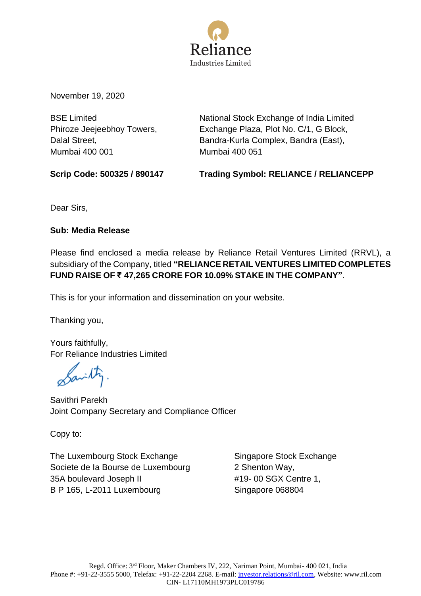

November 19, 2020

BSE Limited Phiroze Jeejeebhoy Towers, Dalal Street, Mumbai 400 001

National Stock Exchange of India Limited Exchange Plaza, Plot No. C/1, G Block, Bandra-Kurla Complex, Bandra (East), Mumbai 400 051

**Scrip Code: 500325 / 890147 Trading Symbol: RELIANCE / RELIANCEPP** 

Dear Sirs,

**Sub: Media Release**

Please find enclosed a media release by Reliance Retail Ventures Limited (RRVL), a subsidiary of the Company, titled **"RELIANCE RETAIL VENTURES LIMITED COMPLETES FUND RAISE OF ₹ 47,265 CRORE FOR 10.09% STAKE IN THE COMPANY"**.

This is for your information and dissemination on your website.

Thanking you,

Yours faithfully, For Reliance Industries Limited

avilly

Savithri Parekh Joint Company Secretary and Compliance Officer

Copy to:

The Luxembourg Stock Exchange Societe de Ia Bourse de Luxembourg 35A boulevard Joseph II B P 165, L-2011 Luxembourg

Singapore Stock Exchange 2 Shenton Way, #19- 00 SGX Centre 1, Singapore 068804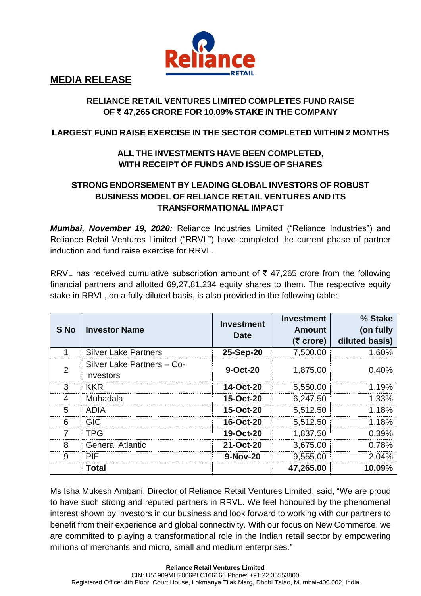

**MEDIA RELEASE**

#### **RELIANCE RETAIL VENTURES LIMITED COMPLETES FUND RAISE OF ₹ 47,265 CRORE FOR 10.09% STAKE IN THE COMPANY**

#### **LARGEST FUND RAISE EXERCISE IN THE SECTOR COMPLETED WITHIN 2 MONTHS**

## **ALL THE INVESTMENTS HAVE BEEN COMPLETED, WITH RECEIPT OF FUNDS AND ISSUE OF SHARES**

### **STRONG ENDORSEMENT BY LEADING GLOBAL INVESTORS OF ROBUST BUSINESS MODEL OF RELIANCE RETAIL VENTURES AND ITS TRANSFORMATIONAL IMPACT**

*Mumbai, November 19, 2020:* Reliance Industries Limited ("Reliance Industries") and Reliance Retail Ventures Limited ("RRVL") have completed the current phase of partner induction and fund raise exercise for RRVL.

RRVL has received cumulative subscription amount of ₹ 47,265 crore from the following financial partners and allotted 69,27,81,234 equity shares to them. The respective equity stake in RRVL, on a fully diluted basis, is also provided in the following table:

| S No           | <b>Investor Name</b>                           | <b>Investment</b><br><b>Date</b> | <b>Investment</b><br><b>Amount</b><br>$(5$ crore) | % Stake<br>(on fully<br>diluted basis) |
|----------------|------------------------------------------------|----------------------------------|---------------------------------------------------|----------------------------------------|
| 1              | <b>Silver Lake Partners</b>                    | 25-Sep-20                        | 7,500.00                                          | 1.60%                                  |
| $\overline{2}$ | Silver Lake Partners - Co-<br><b>Investors</b> | 9-Oct-20                         | 1,875.00                                          | 0.40%                                  |
| 3              | <b>KKR</b>                                     | 14-Oct-20                        | 5,550.00                                          | 1.19%                                  |
| 4              | Mubadala                                       | 15-Oct-20                        | 6,247.50                                          | 1.33%                                  |
| 5              | <b>ADIA</b>                                    | 15-Oct-20                        | 5,512.50                                          | 1.18%                                  |
| 6              | <b>GIC</b>                                     | 16-Oct-20                        | 5,512.50                                          | 1.18%                                  |
| 7              | <b>TPG</b>                                     | 19-Oct-20                        | 1,837.50                                          | 0.39%                                  |
| 8              | <b>General Atlantic</b>                        | 21-Oct-20                        | 3,675.00                                          | 0.78%                                  |
| 9              | PIF                                            | 9-Nov-20                         | 9,555.00                                          | 2.04%                                  |
|                | <b>Total</b>                                   |                                  | 47,265.00                                         | 10.09%                                 |

Ms Isha Mukesh Ambani, Director of Reliance Retail Ventures Limited, said, "We are proud to have such strong and reputed partners in RRVL. We feel honoured by the phenomenal interest shown by investors in our business and look forward to working with our partners to benefit from their experience and global connectivity. With our focus on New Commerce, we are committed to playing a transformational role in the Indian retail sector by empowering millions of merchants and micro, small and medium enterprises."